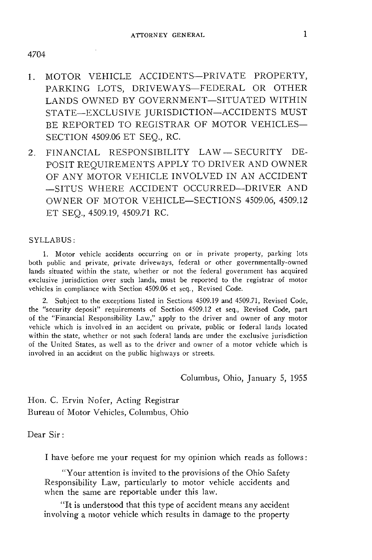- 1. MOTOR VEHICLE ACCIDENTS-PRIVATE PROPERTY, PARKING LOTS, DRIVEWAYS-FEDERAL OR OTHER LANDS OWNED BY GOVERNMENT-SITUATED WITHIN STATE-EXCLUSIVE JURISDICTION-ACCIDENTS MUST BE REPORTED TO REGISTRAR OF MOTOR VEHICLES-SECTION 4509.06 ET SEQ., RC.
- 2. FINANCIAL RESPONSIBILITY LAW-SECURITY DE-POSIT REQUIREMENTS APPLY TO DRIVER AND OWNER OF ANY MOTOR VEHICLE INVOLVED IN AN ACCIDENT -SITUS WHERE ACCIDENT OCCURRED-DRIVER AND OWNER OF MOTOR VEHICLE-SECTIONS 4509.06, 4509.12 ET SEQ., 4509.19, 4509.71 RC.

## SYLLABUS:

I. Motor vehicle accidents occurring on or in private property, parking lots both public and private, private driveways, federal or other governmentally-owned lands situated within the state, whether or not the federal government has acquired exclusive jurisdiction over such lands, must be reported to the registrar of motor vehicles in compliance with Section 4509.06 et seq., Revised Code.

2. Subject to the exceptions listed in Sections 4509.19 and 4509.71, Revised Code, the "security deposit" requirements of Section 4509.12 et seq., Revised Code, part of the "Financial Responsibility Law," apply to the driver and owner of any motor vehicle which is involved in an accident on private, public or federal lands located within the state, whether or not such federal lands are under the exclusive jurisdiction of the United States, as well as to the driver and owner of a motor vehicle which is involved in an accident on the public highways or streets.

Columbus, Ohio, January 5, 1955

Hon. C. Ervin Nofer, Acting Registrar Bureau of Motor Vehicles, Columbus, Ohio

Dear Sir:

I have before me your request for my opinion which reads as follows:

"Your attention is invited to the provisions of the Ohio Safety Responsibility Law, particularly to motor vehicle accidents and when the same are reportable under this law.

**"Lt** is understood that this type of accident means any accident involving a motor vehicle which results in damage to the property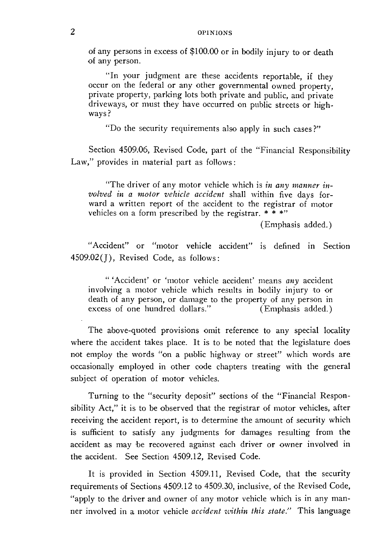of any persons in excess of \$100 .00 or in bodily injury to or death of any person.

''In your judgment are these accidents reportable, if they occur on the federal or any other governmental owned property. private property, parking lots both private and public, and private driveways, or must they have occurred on public streets or highways?

"Do the security requirements also apply in such cases?"

Section 4509.06, Revised Code, part of the "Financial Responsibility Law," provides in material part as follows:

"The driver of any motor vehicle which is *in any manner involved in a motor vehicle accident* shall within five days forward a written report of the accident to the registrar of motor vehicles on a form prescribed by the registrar.  $* * * "$ 

(Emphasis added.)

"Accident" or "motor vehicle accident" is defined in Section  $4509.02$ (J), Revised Code, as follows:

"'Accident' or 'motor vehicle accident' means *any* accident involving a motor vehicle which results in bodily injury to or death of any person, or damage to the property of any person in excess of one hundred dollars." (Emphasis added.)

The above-quoted provisions omit reference to any special locality where the accident takes place. It is to be noted that the legislature does not employ the words "on a public highway or street" which words are occasionally employed in other code chapters treating with the general subject of operation of motor vehicles.

Turning to the "security deposit" sections of the "Financial Responsibility Act," it is to be observed that the registrar of motor vehicles, after receiving the accident report, is to determine the amount of security which is sufficient to satisfy any judgments for damages resulting from the accident as may be recovered against each driver or owner involved in the accident. See Section 4509.12, Revised Code.

It is provided in Section 4509.11, Revised Code, that the security requirements of Sections 4509.12 to 4509.30, inclusive, of the Revised Code, "apply to the driver and owner of any motor vehicle which is in any manner involved in a motor vehicle *accident within this state."* This language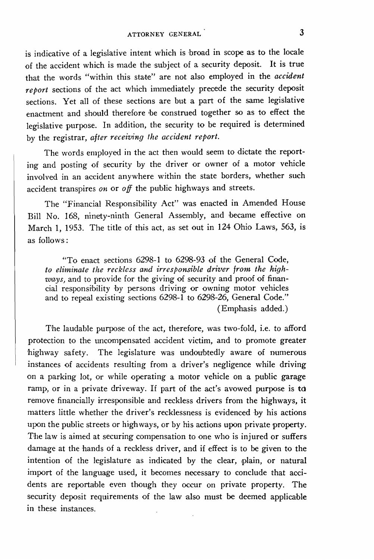is indicative of a legislative intent which is broad in scope as to the locale of the accident which is made the subject of a security deposit. It is true that the words "within this state" are not also employed in the *accident report* sections of the act which immediately precede the security deposit sections. Yet all of these sections are but a part of the same legislative enactment and should therefore •be construed together so as to effect the legislative purpose. In addition, the security to be required is determined by the registrar, *after receiving the accident report.* 

The words employed in the act then would seem to dictate the reporting and posting of security by the driver or owner of a motor vehicle involved in an accident anywhere within the state borders, whether such accident transpires *on* or *off* the public highways and streets.

The "Financial Responsibility Act" was enacted in Amended House Bill No. 168, ninety-ninth General Assembly, and became effective on March 1, 1953. The title of this act, as set out in 124 Ohio Laws, 563, is as follows:

"To enact sections 6298-1 to 6298-93 of the General Code, *to eliminate the reckless and irresponsible driver from the highways, and to provide for the giving of security and proof of finan*cial responsibility by persons driving or owning motor vehicles and to repeal existing sections 6298-1 to 6298-26, General Code." (Emphasis added.)

The laudable purpose of the act, therefore, was two-fold, i.e. to afford protection to the uncompensated accident victim, and to promote greater highway safety. The legislature was undoubtedly aware of numerous instances of accidents resulting from a driver's negligence while driving on a parking lot, or while operating a motor vehicle on a public garage ramp, or in a private driveway. If part of the act's avowed purpose is to remove financially irresponsible and reckless drivers from the highways, it matters little whether the driver's recklessness is evidenced hy his actions upon the public streets or highways, or by his actions upon private property. The law is aimed at securing compensation to one who is injured or suffers damage at the hands of a reckless driver, and if effect is to be given to the intention of the legislature as indicated by the clear, plain, or natural import of the language used, it becomes necessary to conclude that accidents are reportable even though they occur on private property. The security deposit requirements of the law also must be deemed applicable in these instances.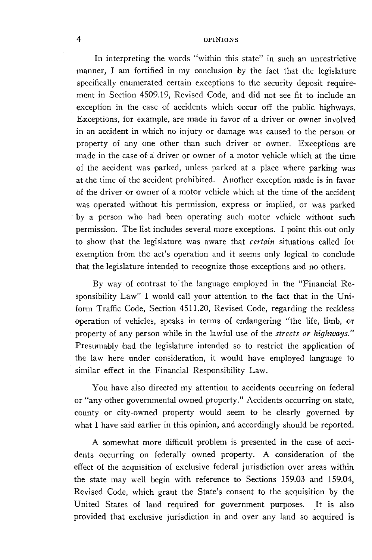## 4 OPINIONS

In interpreting the words "within this state" in such an unrestrictive manner, I am fortified in my conclusion by the fact that the legislature specifically enumerated certain exceptions to the security deposit requirement in Section 4509.19, Revised Code, and did not see fit to include an exception in the case of accidents which occur off the public highways. Exceptions, for example, are made in favor of a driver or owner involved in an accident in which no injury or damage was caused to the person or property of any one other than such driver or owner. Exceptions are ·made in the case of a driver or owner of a motor vehicle which at the time of the accident was parked, unless parked at a place where parking was at the time of the accident prohibited. Another exception made is in favor of the driver or owner of a motor vehicle which at the time of the accident was operated without his permission, express or implied, or was parked *:* by a person who had been operating such motor vehicle without such permission. The list includes several more exceptions. I point this out only to show that the legislature was aware that *certain* situations called for exemption from the act's operation and it seems only logical to conclude that the legislature intended to recognize those exceptions and no others.

By way of contrast to the language employed in the "Financial Responsibility Law" I would call your attention to the fact that in the Uniform Traffic Code, Section 4511.20, Revised Code, regarding the reckless operation of vehicles, speaks in terms of endangering "the life, limb, or property of any person while in the lawful use of the *streets or highways."*  Presumably had the legislature intended so to restrict the application of the law here under consideration, it would have employed language to similar effect in the Financial Responsibility Law.

You have also directed my attention to accidents occurring on federal or "any other governmental owned property." Accidents occurring on state, county or city-owned property would seem to be clearly governed by what I have said earlier in this opinion, and accordingly should be reported.

A somewhat more difficult problem is presented in the case of accidents occurring on federally owned property. A consideration of the effect of the acquisition of exclusive federal jurisdiction over areas within the state may well begin with reference to Sections 159.03 and 159.04, Revised Code, which grant the State's consent to the acquisition by the United States of land required for government purposes. It is also provided that exclusive jurisdiction in and over any land so acquired is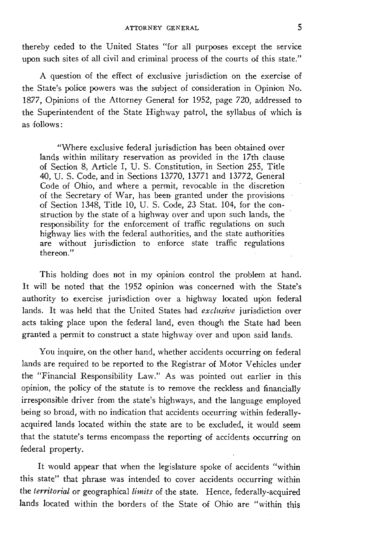thereby ceded to the United States "for all purposes except the service upon such sites of all civil and criminal process of the courts of this state."

A question of the effect of exclusive jurisdiction on the exercise of the State's police powers was the subject of consideration in Opinion No. 1877, Opinions of the Attorney General for 1952, page 720, addressed to the Superintendent of the State Highway patrol, the syllabus of which is as follows:

"Where exclusive federal jurisdiction has been obtained over lands within military reservation as provided in the 17th clause of Section 8, Article I, U. S. Constitution, in Section 255, Title 40, U. S. Code, and in Sections 13770, 13771 and 13772, General Code of Ohio, and where a permit, revocable in the discretion of the Secretary of War, has been, granted under the provisions of Section 1348, Title 10, U. S. Code, 23 Stat. 104, for the construction by the state of a highway over and upon such lands, the responsibility for the enforcement of traffic regulations on such highway lies with the federal authorities, and the state authorities are without jurisdiction to enforce state traffic regulations thereon."

This holding does not in my opinion control the problem at hand. It will be noted that the 1952 opinion was concerned with the State's authority to exercise jurisdiction over a highway located upon federal lands. It was held that the United States had *exclusive* jurisdiction over acts taking place upon the federal land, even though the State had been granted a permit to construct a state highway over and upon said lands.

You inquire, on the other hand, whether accidents occurring on federal lands are required to be reported to the Registrar of Motor Vehicles under the "Financial Responsibility Law." As was pointed out earlier in this opinion, the policy of the statute is to remove the reckless and· financially irresponsible driver from the state's highways, and the language employed being so broad, with no indication that accidents occurring within federallyacquired lands located within the state are to be excluded, it would seem that the statute's terms encompass the reporting of accidents occurring on federal property.

It would appear that when the legislature spoke of accidents "within this state" that phrase was intended to cover accidents occurring within the *territorial* or geographical *limits* of the state. Hence, federally-acquired lands located within the borders of the State of Ohio are "within this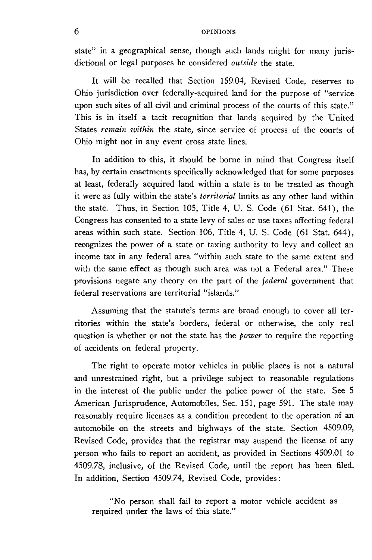## 6 OPINIONS

state" in a geographical sense, though such lands might for many jurisdictional or legal purposes be considered *outside* the state.

It will be recalled that Section 159.04, Revised Code, reserves to Ohio jurisdiction over federally-acquired land for the purpose of "service upon such sites of all civil and criminal process of the courts of this state." This is in itself a tacit recognition that lands acquired by the United States *remain within* the state, since service of process of the courts of Ohio might not in any event cross state lines.

In addition to this, it should be borne in mind that Congress itself has, by certain enactments specifically acknowledged that for some purposes at least, federally acquired land within a state is to be treated as though it were as fully within the state's *territorial* limits as any other land within the state. Thus, in Section 105, Title 4, U. S. Code (61 Stat. 641), the Congress has consented to a state levy of sales or use taxes affecting federal areas within such state. Section 106, Title 4, U. S. Code (61 Stat. 644), recognizes the power of a state or taxing authority to levy and collect an income tax in any federal area "within such state to the same extent and with the same effect as though such area was not a Federal area." These provisions negate any theory on the part of the *federal* government that federal reservations are territorial "islands."

Assuming that the statute's terms are broad enough to cover all territories within the state's borders, federal or otherwise, the only real question is whether or not the state has the *power* to require the reporting of accidents on federal property.

The right to operate motor vehicles in public places is not a natural and unrestrained right, but a privilege subject to reasonable regulations in the interest of the public under the police power of the state. See 5 American Jurisprudence, Automobiles, Sec. 151, page 591. The state may reasonably require licenses as a condition precedent to the operation of an automobile on the streets and highways of the state. Section 4509.09, Revised Code, provides that the registrar may suspend the license of any person who fails to report an accident, as provided in Sections 4509.01 to 4509.78, inclusive, of the Revised Code, until the report has been filed. In addition, Section 4509.74, Revised Code, provides:

"No person shall fail to report a motor vehicle accident as required under the laws of this state."